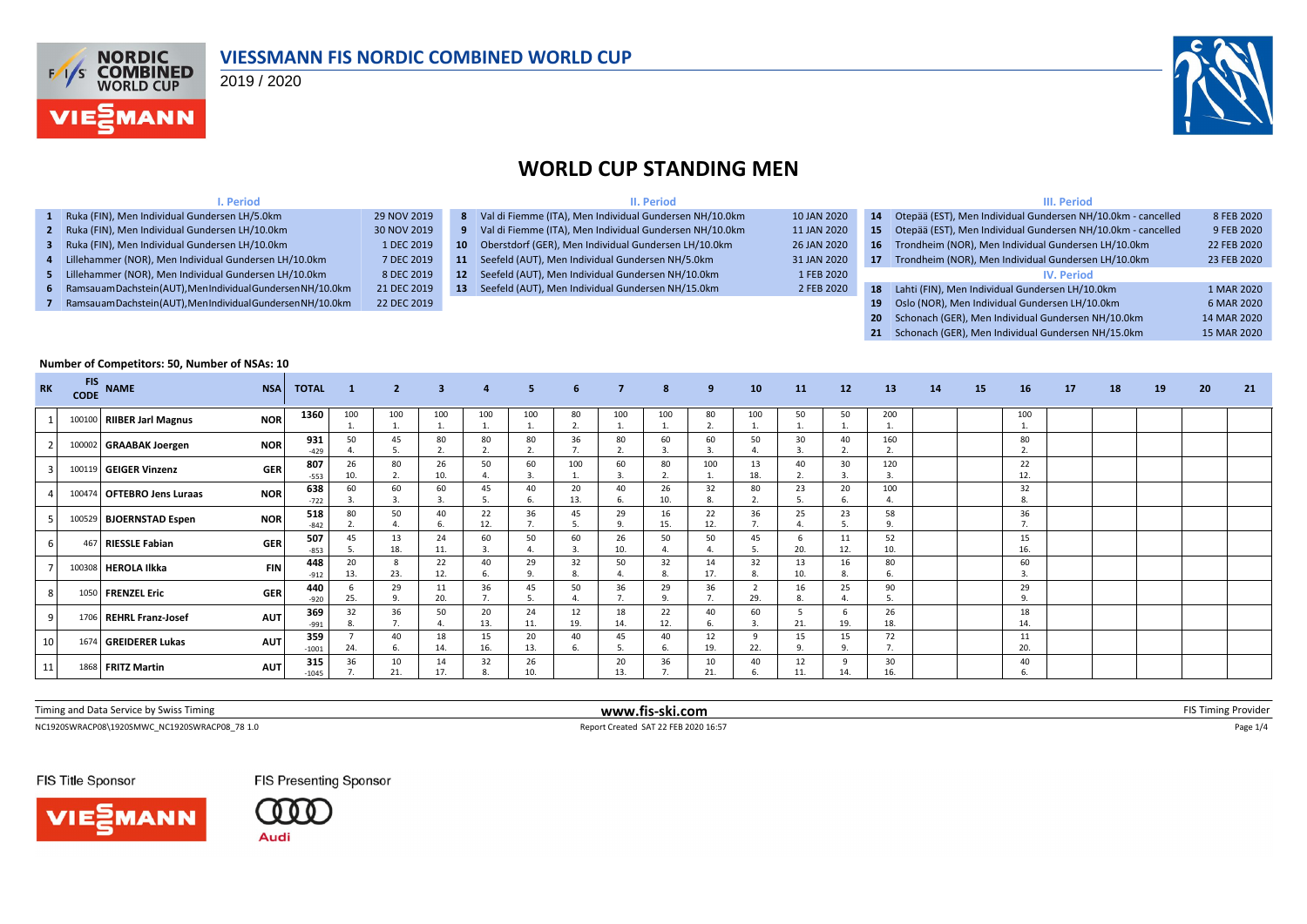

#### **VIESSMANN FIS NORDIC COMBINED WORLD CUP**

2019 / 2020



#### **WORLD CUP STANDING MEN**

| . Period                                                       |             |                 | II. Period                                                |             | III. Period |                                                                 |             |  |  |  |  |
|----------------------------------------------------------------|-------------|-----------------|-----------------------------------------------------------|-------------|-------------|-----------------------------------------------------------------|-------------|--|--|--|--|
| 1 Ruka (FIN), Men Individual Gundersen LH/5.0km                | 29 NOV 2019 |                 | 8 Val di Fiemme (ITA), Men Individual Gundersen NH/10.0km | 10 JAN 2020 | 14          | Otepää (EST), Men Individual Gundersen NH/10.0km - cancelled    | 8 FEB 2020  |  |  |  |  |
| 2 Ruka (FIN), Men Individual Gundersen LH/10.0km               | 30 NOV 2019 |                 | 9 Val di Fiemme (ITA), Men Individual Gundersen NH/10.0km | 11 JAN 2020 |             | 15 Otepää (EST), Men Individual Gundersen NH/10.0km - cancelled | 9 FEB 2020  |  |  |  |  |
| 3 Ruka (FIN), Men Individual Gundersen LH/10.0km               | 1 DEC 2019  | 10 <sup>1</sup> | Oberstdorf (GER), Men Individual Gundersen LH/10.0km      | 26 JAN 2020 |             | 16 Trondheim (NOR), Men Individual Gundersen LH/10.0km          | 22 FEB 2020 |  |  |  |  |
| Lillehammer (NOR), Men Individual Gundersen LH/10.0km          | 7 DEC 2019  | 11              | Seefeld (AUT), Men Individual Gundersen NH/5.0km          | 31 JAN 2020 | 17          | Trondheim (NOR), Men Individual Gundersen LH/10.0km             | 23 FEB 2020 |  |  |  |  |
| 5 Lillehammer (NOR), Men Individual Gundersen LH/10.0km        | 8 DEC 2019  | 12 <sup>2</sup> | Seefeld (AUT), Men Individual Gundersen NH/10.0km         | 1 FEB 2020  |             | <b>IV. Period</b>                                               |             |  |  |  |  |
| 6 Ramsauam Dachstein (AUT), Men Individual Gundersen NH/10.0km | 21 DEC 2019 | 13              | Seefeld (AUT), Men Individual Gundersen NH/15.0km         | 2 FEB 2020  | 18          | Lahti (FIN), Men Individual Gundersen LH/10.0km                 | 1 MAR 2020  |  |  |  |  |
| Ramsauam Dachstein (AUT), Men Individual Gundersen NH/10.0km   | 22 DEC 2019 |                 |                                                           |             | 19          | Oslo (NOR), Men Individual Gundersen LH/10.0km                  | 6 MAR 2020  |  |  |  |  |
|                                                                |             |                 |                                                           |             |             | 20 Schonach (GER), Men Individual Gundersen NH/10.0km           | 14 MAR 2020 |  |  |  |  |

|  | 21 Schonach (GER), Men Individual Gundersen NH/15.0km | 15 MAR 2020 |  |
|--|-------------------------------------------------------|-------------|--|
|  |                                                       |             |  |

| Number of Competitors: 50, Number of NSAs: 10 |            |                            |            |                |                  |                |           |                |                |           |                      |           |                      |           |                      |                |           |    |    |                    |    |    |    |    |    |
|-----------------------------------------------|------------|----------------------------|------------|----------------|------------------|----------------|-----------|----------------|----------------|-----------|----------------------|-----------|----------------------|-----------|----------------------|----------------|-----------|----|----|--------------------|----|----|----|----|----|
| <b>RK</b>                                     | <b>FIS</b> | CODE NAME                  | <b>NSA</b> | <b>TOTAL</b>   | $\blacksquare$ 1 | $\overline{2}$ | 3         | $\overline{4}$ | 5 <sup>1</sup> | 6         | $\overline{7}$       | 8         | 9 <sub>o</sub>       | 10        | 11                   | 12             | 13        | 14 | 15 | 16                 | 17 | 18 | 19 | 20 | 21 |
|                                               |            | 100100 RIIBER Jarl Magnus  | <b>NOR</b> | 1360           | 100              | 100            | 100<br>1. | 100            | 100            | 80<br>2.  | 100<br>$\mathbf{1}$  | 100       | 80<br>$\overline{2}$ | 100       | 50                   | 50             | 200       |    |    | 100                |    |    |    |    |    |
|                                               |            | 100002 GRAABAK Joergen     | <b>NOR</b> | 931<br>$-429$  | 50               |                | 80        | 80             | 80             | 36        | 80<br>$\mathcal{D}$  | 60        | 60                   | 50        | 30<br>$\overline{3}$ | 40             | 160       |    |    | 80<br>$\mathbf{a}$ |    |    |    |    |    |
|                                               |            | 100119 GEIGER Vinzenz      | <b>GER</b> | 807<br>$-553$  | 26<br>10.        | 80             | 26<br>10. | 50             | 60             | 100       | 60<br>$\overline{3}$ | 80        | 100                  | 13<br>18. | 40<br>$\mathcal{L}$  | 30             | 120       |    |    | 22<br>12.          |    |    |    |    |    |
|                                               |            | 100474 OFTEBRO Jens Luraas | <b>NOR</b> | 638<br>$-722$  | 60               | 60             | 60        | 45             | 40             | 20<br>13. | 40<br>6.             | 26<br>10. | 32                   | 80        | 23<br>5              | 20             | 100       |    |    | 32<br>8.           |    |    |    |    |    |
|                                               |            | 100529 BJOERNSTAD Espen    | <b>NOR</b> | 518<br>$-842$  | 80               | 50             | 40        | 22<br>12.      | 36             | 45        | 29<br>9.             | 16<br>15. | 22<br>12.            | 36        | 25<br>$\overline{4}$ | 23             | 58        |    |    | 36                 |    |    |    |    |    |
|                                               |            | 467 RIESSLE Fabian         | <b>GER</b> | 507<br>$-853$  | 45<br>.5         | 13<br>18.      | 24<br>11. | 60             | 50             | 60<br>3   | 26<br>10.            | 50        | 50                   | 45        | 6<br>20.             | 11<br>12.      | 52<br>10. |    |    | 15<br>16.          |    |    |    |    |    |
|                                               |            | 100308 HEROLA Ilkka        | <b>FIN</b> | 448<br>$-912$  | 20<br>13.        | 23.            | 22<br>12. | 40             | 29             | 32<br>8.  | 50<br>$\Delta$       | 32        | 14<br>17.            | 32        | 13<br>10.            | 16<br>8.       | 80        |    |    | 60                 |    |    |    |    |    |
|                                               |            | 1050 FRENZEL Eric          | <b>GER</b> | 440<br>$-920$  | 25.              | 29             | 11<br>20. | 36             | 45             | 50        | 36<br>$\overline{7}$ | 29        | 36                   | 29.       | 16<br>8.             | 25             | 90        |    |    | 29<br>9            |    |    |    |    |    |
|                                               |            | 1706 REHRL Franz-Josef     | <b>AUT</b> | 369<br>$-991$  | 32<br>8.         | 36             | 50        | 20<br>13.      | 24<br>11.      | 12<br>19. | 18<br>14.            | 22<br>12. | 40                   | 60        | -5<br>21.            | 19.            | 26<br>18. |    |    | 18<br>14.          |    |    |    |    |    |
| 10                                            |            | 1674 GREIDERER Lukas       | <b>AUT</b> | 359<br>$-1001$ | 24.              | 40             | 18<br>14. | 15<br>16.      | 20<br>13.      | 40        | 45<br>5              | 40        | 12<br>19.            | 9<br>22.  | 15<br>$\circ$        | 15<br>$\Omega$ | 72        |    |    | 11<br>20.          |    |    |    |    |    |
| 11                                            |            | 1868 FRITZ Martin          | <b>AUT</b> | 315<br>$-1045$ | 36               | 10<br>21       | 14<br>17. | 32             | 26<br>10.      |           | 20<br>13.            | 36        | 10<br>21.            | 40        | 12<br>11.            | 14.            | 30<br>16. |    |    | 40                 |    |    |    |    |    |

| Timing and Data Service b<br>by Swiss<br>riming | www.fis-ski.com | -10.3<br><b>FIN</b> 1<br>ming Provider. |
|-------------------------------------------------|-----------------|-----------------------------------------|
|                                                 |                 |                                         |

NC1920SWRACP08\1920SMWC\_NC1920SWRACP08\_78 1.0 Report Created SAT 22 FEB 2020 16:57 Page 1/4

FIS Presenting Sponsor



FIS Title Sponsor

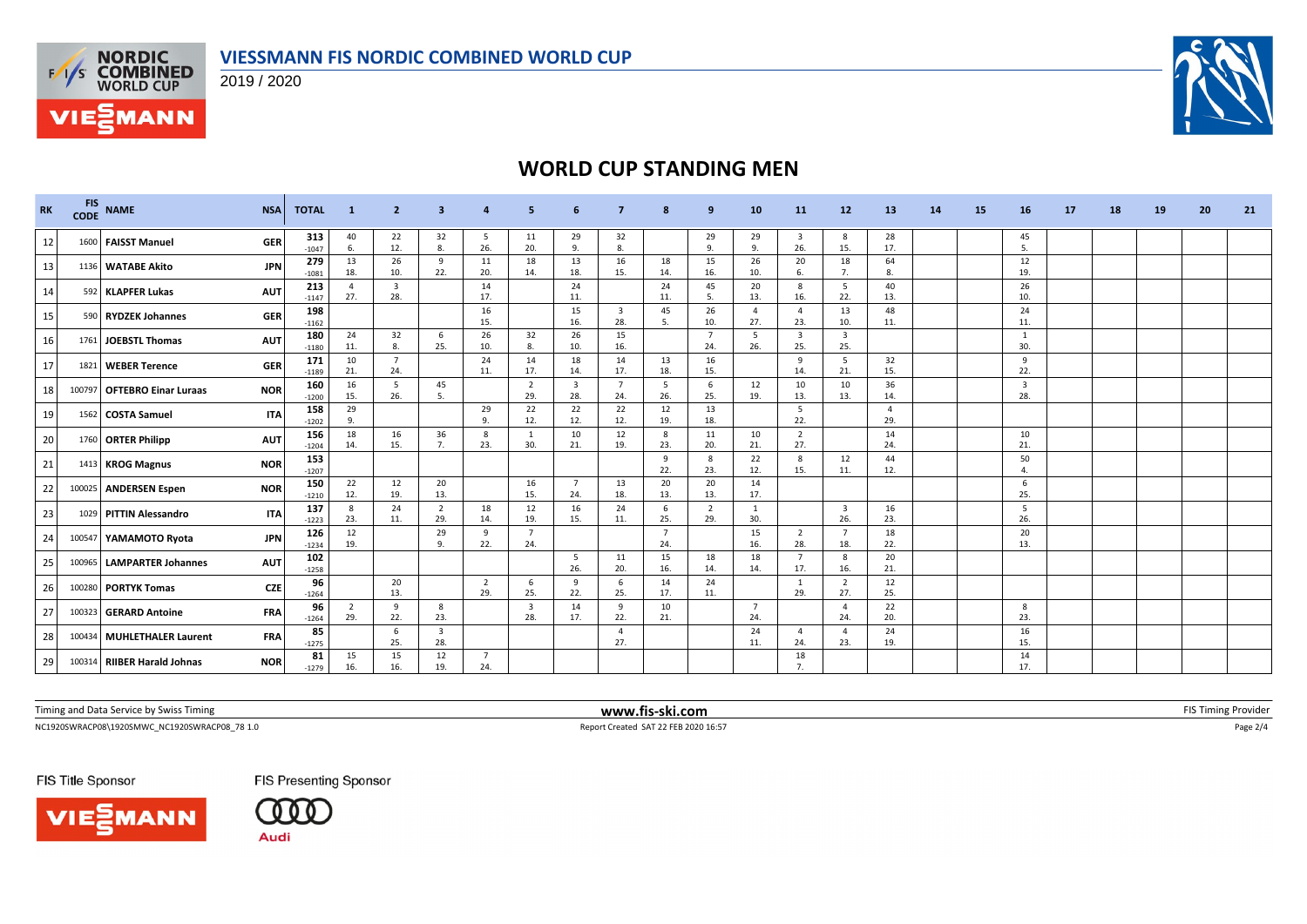



**VIESMANN** 

2019 / 2020



# **WORLD CUP STANDING MEN**

| <b>RK</b>       | <b>FIS</b><br><b>CODE</b> | <b>NAME</b>                 | <b>NSA</b> | <b>TOTAL</b>   | $\mathbf{1}$          | $\overline{2}$                 | з                              |                       |                                |                                |                                |           | 9                     | 10         | 11                             | 12                             | 13                    | 14 | 15 | 16                             | 17 | 18 | 19 | 20 | 21 |
|-----------------|---------------------------|-----------------------------|------------|----------------|-----------------------|--------------------------------|--------------------------------|-----------------------|--------------------------------|--------------------------------|--------------------------------|-----------|-----------------------|------------|--------------------------------|--------------------------------|-----------------------|----|----|--------------------------------|----|----|----|----|----|
| 12              |                           | 1600 FAISST Manuel          | <b>GER</b> | 313<br>$-1047$ | 40<br>6.              | 22<br>12.                      | 32<br>8.                       | 5<br>26.              | 11<br>20.                      | 29<br>9.                       | 32<br>8.                       |           | 29<br>$\mathbf{q}$    | 29<br>9.   | $\overline{\mathbf{3}}$<br>26. | 8<br>15.                       | 28<br>17.             |    |    | 45<br>5.                       |    |    |    |    |    |
| 13              |                           | 1136 WATABE Akito           | <b>JPN</b> | 279<br>$-1081$ | 13<br>18.             | 26<br>10.                      | 9<br>22.                       | 11<br>20.             | 18<br>14.                      | 13<br>18.                      | 16<br>15.                      | 18<br>14. | 15<br>16.             | 26<br>10.  | 20<br>6.                       | 18                             | 64<br>-8.             |    |    | 12<br>19.                      |    |    |    |    |    |
| 14              |                           | 592 KLAPFER Lukas           | <b>AUT</b> | 213<br>$-1147$ | $\overline{4}$<br>27. | $\overline{\mathbf{3}}$<br>28. |                                | 14<br>17.             |                                | 24<br>11.                      |                                | 24<br>11. | 45<br>5.              | 20<br>13.  | 8<br>16.                       | 5<br>22.                       | 40<br>13.             |    |    | 26<br>10.                      |    |    |    |    |    |
| 15              |                           | 590 RYDZEK Johannes         | <b>GER</b> | 198<br>$-1162$ |                       |                                |                                | 16<br>15.             |                                | 15<br>16.                      | $\overline{\mathbf{3}}$<br>28. | 45<br>5.  | 26<br>10.             | -4<br>27.  | $\overline{4}$<br>23.          | 13<br>10.                      | 48<br>11.             |    |    | 24<br>11.                      |    |    |    |    |    |
| 16              | 1761                      | JOEBSTL Thomas              | <b>AUT</b> | 180<br>$-1180$ | 24<br>11.             | 32<br>8.                       | 6<br>25.                       | 26<br>10.             | 32<br>8.                       | 26<br>10.                      | 15<br>16.                      |           | $\overline{7}$<br>24. | 5<br>26.   | $\overline{\mathbf{3}}$<br>25. | $\overline{\mathbf{3}}$<br>25. |                       |    |    | 1<br>30.                       |    |    |    |    |    |
| 17              |                           | 1821 WEBER Terence          | <b>GER</b> | 171<br>$-1189$ | 10<br>21.             | -7<br>24.                      |                                | 24<br>11.             | 14<br>17.                      | 18<br>14.                      | 14<br>17.                      | 13<br>18. | 16<br>15.             |            | 9<br>14.                       | 5<br>21.                       | 32<br>15.             |    |    | 9<br>22.                       |    |    |    |    |    |
| 18              |                           | 100797 OFTEBRO Einar Luraas | <b>NOR</b> | 160<br>$-1200$ | 16<br>15.             | 5<br>26.                       | 45<br>- 5.                     |                       | $\overline{2}$<br>29.          | $\overline{\mathbf{3}}$<br>28. | $\overline{7}$<br>24.          | 5<br>26.  | 6<br>25.              | 12<br>19.  | 10<br>13.                      | 10<br>13.                      | 36<br>14              |    |    | $\overline{\mathbf{3}}$<br>28. |    |    |    |    |    |
| 19              |                           | 1562 COSTA Samuel           | <b>ITA</b> | 158<br>$-1202$ | 29<br>9.              |                                |                                | 29<br>9.              | 22<br>12.                      | 22<br>12.                      | 22<br>12.                      | 12<br>19. | 13<br>18.             |            | 5<br>22.                       |                                | $\overline{4}$<br>29. |    |    |                                |    |    |    |    |    |
| 20 <sub>1</sub> |                           | 1760 ORTER Philipp          | <b>AUT</b> | 156<br>$-1204$ | 18<br>14.             | 16<br>15.                      | 36<br>7.                       | 8<br>23.              | $\overline{1}$<br>30.          | 10<br>21.                      | 12<br>19.                      | 8<br>23.  | 11<br>20.             | 10<br>21.  | $\overline{2}$<br>27.          |                                | 14<br>24              |    |    | 10<br>21.                      |    |    |    |    |    |
| 21              |                           | 1413 KROG Magnus            | <b>NOR</b> | 153<br>$-1207$ |                       |                                |                                |                       |                                |                                |                                | 9<br>22.  | 8<br>23.              | 22<br>12.  | 8<br>15.                       | 12<br>11.                      | 44<br>12.             |    |    | 50<br>$\overline{4}$           |    |    |    |    |    |
| 22              |                           | 100025 ANDERSEN Espen       | <b>NOR</b> | 150<br>$-1210$ | 22<br>12.             | 12<br>19.                      | 20<br>13.                      |                       | 16<br>15.                      | $\overline{7}$<br>24.          | 13<br>18.                      | 20<br>13. | 20<br>13.             | 14<br>17.  |                                |                                |                       |    |    | -6<br>25.                      |    |    |    |    |    |
| 23              |                           | 1029 PITTIN Alessandro      | <b>ITA</b> | 137<br>$-1223$ | 8<br>23.              | 24<br>11.                      | $\overline{2}$<br>29.          | 18<br>14.             | 12<br>19.                      | 16<br>15.                      | 24<br>11.                      | 6<br>25.  | $\overline{2}$<br>29. | -1<br>30.  |                                | $\overline{\mathbf{3}}$<br>26. | 16<br>23.             |    |    | -5<br>26.                      |    |    |    |    |    |
| 24              |                           | 100547 YAMAMOTO Ryota       | <b>JPN</b> | 126<br>$-1234$ | 12<br>19.             |                                | 29<br>9.                       | 9<br>22.              | $\overline{7}$<br>24.          |                                |                                | 7<br>24.  |                       | 15<br>16.  | $\overline{2}$<br>28.          | $\overline{7}$<br>18.          | 18<br>22.             |    |    | 20<br>13.                      |    |    |    |    |    |
| 25              | 100965                    | <b>LAMPARTER Johannes</b>   | <b>AUT</b> | 102<br>$-1258$ |                       |                                |                                |                       |                                | - 5<br>26.                     | 11<br>20.                      | 15<br>16. | 18<br>14.             | 18<br>14.  | $\overline{7}$<br>17.          | 8<br>16.                       | 20<br>21.             |    |    |                                |    |    |    |    |    |
| 26              |                           | 100280 PORTYK Tomas         | <b>CZE</b> | 96<br>$-1264$  |                       | 20<br>13.                      |                                | $\overline{2}$<br>29. | 6<br>25.                       | 9<br>22.                       | -6<br>25.                      | 14<br>17. | 24<br>11.             |            | 1<br>29.                       | 2<br>27.                       | 12<br>25.             |    |    |                                |    |    |    |    |    |
| 27              |                           | 100323 GERARD Antoine       | <b>FRA</b> | 96<br>$-1264$  | $\overline{2}$<br>29. | 9<br>22.                       | 8<br>23.                       |                       | $\overline{\mathbf{3}}$<br>28. | 14<br>17.                      | 9<br>22.                       | 10<br>21. |                       | - 7<br>24. |                                | $\overline{4}$<br>24.          | 22<br>20.             |    |    | 8<br>23.                       |    |    |    |    |    |
| 28              |                           | 100434 MUHLETHALER Laurent  | <b>FRA</b> | 85<br>$-1275$  |                       | 6<br>25.                       | $\overline{\mathbf{3}}$<br>28. |                       |                                |                                | $\mathbf{A}$<br>27.            |           |                       | 24<br>11.  | $\overline{4}$<br>24.          | $\Delta$<br>23.                | 24<br>19.             |    |    | 16<br>15.                      |    |    |    |    |    |
| 29              |                           | 100314 RIIBER Harald Johnas | <b>NOR</b> | 81<br>$-1279$  | 15<br>16.             | 15<br>16.                      | 12<br>19.                      | $\overline{7}$<br>24. |                                |                                |                                |           |                       |            | 18<br>7.                       |                                |                       |    |    | 14<br>17.                      |    |    |    |    |    |

Timing and Data Service by Swiss Timing **WWW.fis-ski.com WWW.fis-ski.com FIS** Timing Provider

NC1920SWRACP08\1920SMWC\_NC1920SWRACP08\_78 1.0 Report Created SAT 22 FEB 2020 16:57 Page 2/4

FIS Title Sponsor





FIS Presenting Sponsor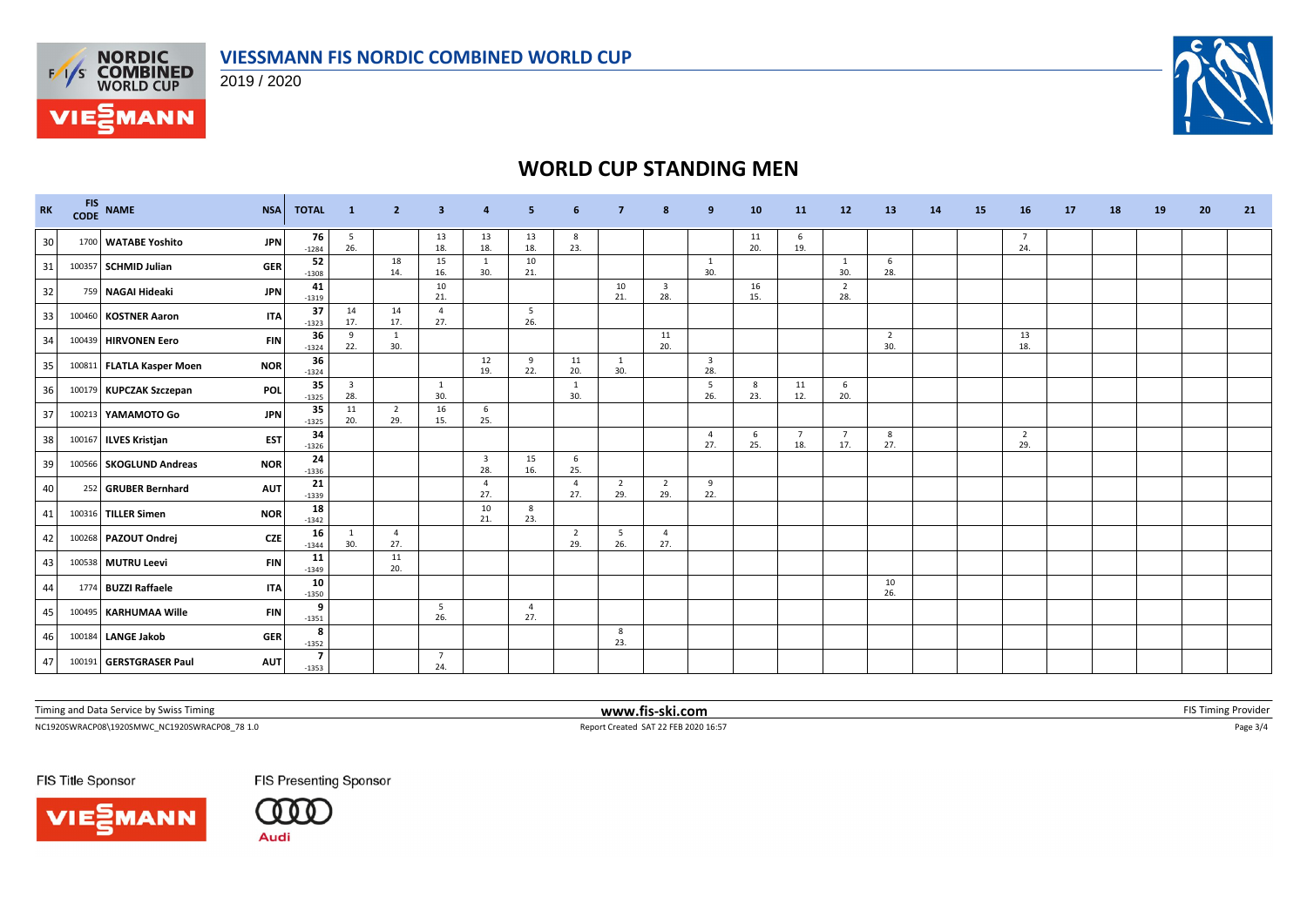

2019 / 2020



# **WORLD CUP STANDING MEN**

| <b>RK</b> | <b>FIS</b><br><b>CODE</b> | <b>NAME</b>               | <b>NSA</b> | <b>TOTAL</b>              | $\blacksquare$                 | $\overline{2}$        | 3                     |                                | 5                     | -6                    |                       |                                | 9                              | 10        | 11                    | 12                    | 13                    | 14 | 15 | 16                    | 17 | 18 | 19 | 20 | 21 |
|-----------|---------------------------|---------------------------|------------|---------------------------|--------------------------------|-----------------------|-----------------------|--------------------------------|-----------------------|-----------------------|-----------------------|--------------------------------|--------------------------------|-----------|-----------------------|-----------------------|-----------------------|----|----|-----------------------|----|----|----|----|----|
| 30        |                           | 1700 WATABE Yoshito       | <b>JPN</b> | 76<br>$-1284$             | 5<br>26.                       |                       | 13<br>18.             | 13<br>18.                      | 13<br>18.             | 8<br>23.              |                       |                                |                                | 11<br>20. | 6<br>19.              |                       |                       |    |    | -7<br>24.             |    |    |    |    |    |
| 31        |                           | 100357 SCHMID Julian      | <b>GER</b> | 52<br>$-1308$             |                                | 18<br>14.             | 15<br>16.             | <sup>1</sup><br>30.            | 10<br>21.             |                       |                       |                                | 1<br>30.                       |           |                       | 1<br>30.              | 6<br>28.              |    |    |                       |    |    |    |    |    |
| 32        |                           | 759 NAGAI Hideaki         | <b>JPN</b> | 41<br>$-1319$             |                                |                       | 10<br>21.             |                                |                       |                       | 10<br>21.             | $\overline{\mathbf{3}}$<br>28. |                                | 16<br>15. |                       | $\overline{2}$<br>28. |                       |    |    |                       |    |    |    |    |    |
| 33        | 100460                    | <b>KOSTNER Aaron</b>      | <b>ITA</b> | 37<br>$-1323$             | 14<br>17.                      | 14<br>17.             | $\overline{4}$<br>27. |                                | 5<br>26.              |                       |                       |                                |                                |           |                       |                       |                       |    |    |                       |    |    |    |    |    |
| 34        | 100439                    | <b>HIRVONEN Eero</b>      | <b>FIN</b> | 36<br>$-1324$             | 9<br>22.                       | -1<br>30.             |                       |                                |                       |                       |                       | 11<br>20.                      |                                |           |                       |                       | $\overline{2}$<br>30. |    |    | 13<br>18.             |    |    |    |    |    |
| 35        |                           | 100811 FLATLA Kasper Moen | <b>NOR</b> | 36<br>$-1324$             |                                |                       |                       | 12<br>19.                      | 9<br>22.              | 11<br>20.             | 1<br>30.              |                                | $\overline{\mathbf{3}}$<br>28. |           |                       |                       |                       |    |    |                       |    |    |    |    |    |
| 36        |                           | 100179 KUPCZAK Szczepan   | <b>POL</b> | 35<br>$-1325$             | $\overline{\mathbf{3}}$<br>28. |                       | $\mathbf{1}$<br>30.   |                                |                       | -1<br>30.             |                       |                                | 5<br>26.                       | 8<br>23.  | 11<br>12.             | 6<br>20.              |                       |    |    |                       |    |    |    |    |    |
| 37        |                           | 100213 YAMAMOTO Go        | <b>JPN</b> | 35<br>$-1325$             | 11<br>20.                      | $\overline{2}$<br>29. | 16<br>15.             | 6<br>25.                       |                       |                       |                       |                                |                                |           |                       |                       |                       |    |    |                       |    |    |    |    |    |
| 38        |                           | 100167 ILVES Kristjan     | <b>EST</b> | 34<br>$-1326$             |                                |                       |                       |                                |                       |                       |                       |                                | $\overline{4}$<br>27.          | 6<br>25.  | $\overline{7}$<br>18. | $\overline{7}$<br>17. | 8<br>27.              |    |    | $\overline{2}$<br>29. |    |    |    |    |    |
| 39        |                           | 100566 SKOGLUND Andreas   | <b>NOR</b> | 24<br>$-1336$             |                                |                       |                       | $\overline{\mathbf{3}}$<br>28. | 15<br>16.             | 6<br>25.              |                       |                                |                                |           |                       |                       |                       |    |    |                       |    |    |    |    |    |
| 40        |                           | 252 GRUBER Bernhard       | <b>AUT</b> | 21<br>$-1339$             |                                |                       |                       | $\overline{4}$<br>27.          |                       | $\overline{4}$<br>27. | $\overline{2}$<br>29. | $\overline{2}$<br>29.          | 9<br>22.                       |           |                       |                       |                       |    |    |                       |    |    |    |    |    |
| 41        |                           | 100316 TILLER Simen       | <b>NOR</b> | 18<br>$-1342$             |                                |                       |                       | 10<br>21.                      | 8<br>23.              |                       |                       |                                |                                |           |                       |                       |                       |    |    |                       |    |    |    |    |    |
| 42        |                           | 100268 PAZOUT Ondrej      | <b>CZE</b> | 16<br>$-1344$             | 1<br>30.                       | $\overline{4}$<br>27. |                       |                                |                       | $\overline{2}$<br>29. | 5<br>26.              | $\overline{4}$<br>27.          |                                |           |                       |                       |                       |    |    |                       |    |    |    |    |    |
| 43        |                           | 100538 MUTRU Leevi        | <b>FIN</b> | 11<br>$-1349$             |                                | 11<br>20.             |                       |                                |                       |                       |                       |                                |                                |           |                       |                       |                       |    |    |                       |    |    |    |    |    |
| 44        |                           | 1774 BUZZI Raffaele       | <b>ITA</b> | 10<br>$-1350$             |                                |                       |                       |                                |                       |                       |                       |                                |                                |           |                       |                       | 10<br>26.             |    |    |                       |    |    |    |    |    |
| 45        |                           | 100495 KARHUMAA Wille     | <b>FIN</b> | 9<br>$-1351$              |                                |                       | 5<br>26.              |                                | $\overline{4}$<br>27. |                       |                       |                                |                                |           |                       |                       |                       |    |    |                       |    |    |    |    |    |
| 46        |                           | 100184 LANGE Jakob        | <b>GER</b> | 8<br>$-1352$              |                                |                       |                       |                                |                       |                       | 8<br>23.              |                                |                                |           |                       |                       |                       |    |    |                       |    |    |    |    |    |
| 47        |                           | 100191 GERSTGRASER Paul   | <b>AUT</b> | $\overline{7}$<br>$-1353$ |                                |                       | $\overline{7}$<br>24. |                                |                       |                       |                       |                                |                                |           |                       |                       |                       |    |    |                       |    |    |    |    |    |

Timing and Data Service by Swiss Timing **WWW.fis-ski.com WWW.fis-ski.com FIS** Timing Provider

NC1920SWRACP08\1920SMWC\_NC1920SWRACP08\_78 1.0 Report Created SAT 22 FEB 2020 16:57 Page 3/4

FIS Title Sponsor





FIS Presenting Sponsor